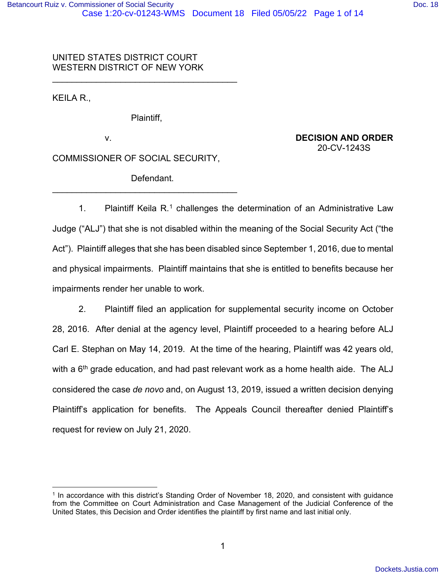# UNITED STATES DISTRICT COURT WESTERN DISTRICT OF NEW YORK

KEILA R.,

Plaintiff,

\_\_\_\_\_\_\_\_\_\_\_\_\_\_\_\_\_\_\_\_\_\_\_\_\_\_\_\_\_\_\_\_\_\_\_\_\_\_

v. **DECISION AND ORDER** 20-CV-1243S

COMMISSIONER OF SOCIAL SECURITY,

Defendant.

\_\_\_\_\_\_\_\_\_\_\_\_\_\_\_\_\_\_\_\_\_\_\_\_\_\_\_\_\_\_\_\_\_\_\_\_\_\_

[1](#page-0-0). Plaintiff Keila  $R<sup>1</sup>$  challenges the determination of an Administrative Law Judge ("ALJ") that she is not disabled within the meaning of the Social Security Act ("the Act"). Plaintiff alleges that she has been disabled since September 1, 2016, due to mental and physical impairments. Plaintiff maintains that she is entitled to benefits because her impairments render her unable to work.

2. Plaintiff filed an application for supplemental security income on October 28, 2016. After denial at the agency level, Plaintiff proceeded to a hearing before ALJ Carl E. Stephan on May 14, 2019. At the time of the hearing, Plaintiff was 42 years old, with a 6<sup>th</sup> grade education, and had past relevant work as a home health aide. The ALJ considered the case *de novo* and, on August 13, 2019, issued a written decision denying Plaintiff's application for benefits. The Appeals Council thereafter denied Plaintiff's request for review on July 21, 2020.

<span id="page-0-0"></span><sup>1</sup> In accordance with this district's Standing Order of November 18, 2020, and consistent with guidance from the Committee on Court Administration and Case Management of the Judicial Conference of the United States, this Decision and Order identifies the plaintiff by first name and last initial only.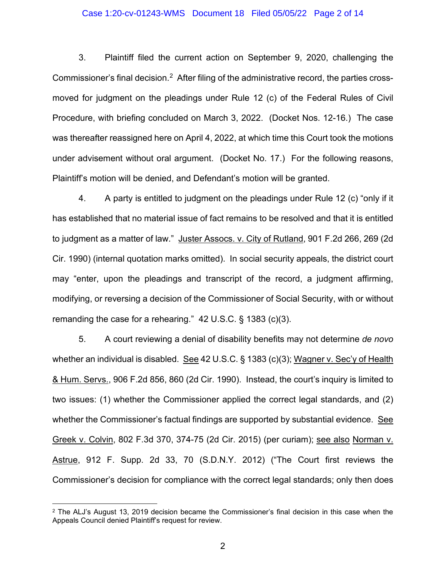## Case 1:20-cv-01243-WMS Document 18 Filed 05/05/22 Page 2 of 14

3. Plaintiff filed the current action on September 9, 2020, challenging the Commissioner's final decision.<sup>[2](#page-1-0)</sup> After filing of the administrative record, the parties crossmoved for judgment on the pleadings under Rule 12 (c) of the Federal Rules of Civil Procedure, with briefing concluded on March 3, 2022. (Docket Nos. 12-16.) The case was thereafter reassigned here on April 4, 2022, at which time this Court took the motions under advisement without oral argument. (Docket No. 17.) For the following reasons, Plaintiff's motion will be denied, and Defendant's motion will be granted.

4. A party is entitled to judgment on the pleadings under Rule 12 (c) "only if it has established that no material issue of fact remains to be resolved and that it is entitled to judgment as a matter of law." Juster Assocs. v. City of Rutland, 901 F.2d 266, 269 (2d Cir. 1990) (internal quotation marks omitted). In social security appeals, the district court may "enter, upon the pleadings and transcript of the record, a judgment affirming, modifying, or reversing a decision of the Commissioner of Social Security, with or without remanding the case for a rehearing." 42 U.S.C. § 1383 (c)(3).

5. A court reviewing a denial of disability benefits may not determine *de novo* whether an individual is disabled. See 42 U.S.C. § 1383 (c)(3); Wagner v. Sec'y of Health & Hum. Servs., 906 F.2d 856, 860 (2d Cir. 1990). Instead, the court's inquiry is limited to two issues: (1) whether the Commissioner applied the correct legal standards, and (2) whether the Commissioner's factual findings are supported by substantial evidence. See Greek v. Colvin, 802 F.3d 370, 374-75 (2d Cir. 2015) (per curiam); see also Norman v. Astrue, 912 F. Supp. 2d 33, 70 (S.D.N.Y. 2012) ("The Court first reviews the Commissioner's decision for compliance with the correct legal standards; only then does

<span id="page-1-0"></span> $2$  The ALJ's August 13, 2019 decision became the Commissioner's final decision in this case when the Appeals Council denied Plaintiff's request for review.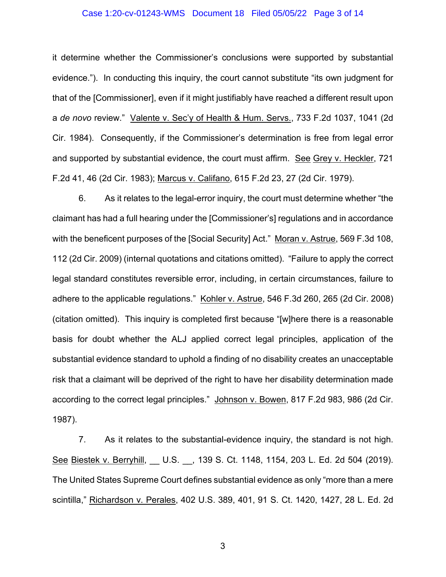## Case 1:20-cv-01243-WMS Document 18 Filed 05/05/22 Page 3 of 14

it determine whether the Commissioner's conclusions were supported by substantial evidence."). In conducting this inquiry, the court cannot substitute "its own judgment for that of the [Commissioner], even if it might justifiably have reached a different result upon a *de novo* review." Valente v. Sec'y of Health & Hum. Servs., 733 F.2d 1037, 1041 (2d Cir. 1984). Consequently, if the Commissioner's determination is free from legal error and supported by substantial evidence, the court must affirm. See Grey v. Heckler, 721 F.2d 41, 46 (2d Cir. 1983); Marcus v. Califano, 615 F.2d 23, 27 (2d Cir. 1979).

6. As it relates to the legal-error inquiry, the court must determine whether "the claimant has had a full hearing under the [Commissioner's] regulations and in accordance with the beneficent purposes of the [Social Security] Act." Moran v. Astrue, 569 F.3d 108, 112 (2d Cir. 2009) (internal quotations and citations omitted). "Failure to apply the correct legal standard constitutes reversible error, including, in certain circumstances, failure to adhere to the applicable regulations." Kohler v. Astrue, 546 F.3d 260, 265 (2d Cir. 2008) (citation omitted). This inquiry is completed first because "[w]here there is a reasonable basis for doubt whether the ALJ applied correct legal principles, application of the substantial evidence standard to uphold a finding of no disability creates an unacceptable risk that a claimant will be deprived of the right to have her disability determination made according to the correct legal principles." Johnson v. Bowen, 817 F.2d 983, 986 (2d Cir. 1987).

7. As it relates to the substantial-evidence inquiry, the standard is not high. See Biestek v. Berryhill, U.S., 139 S. Ct. 1148, 1154, 203 L. Ed. 2d 504 (2019). The United States Supreme Court defines substantial evidence as only "more than a mere scintilla," Richardson v. Perales, 402 U.S. 389, 401, 91 S. Ct. 1420, 1427, 28 L. Ed. 2d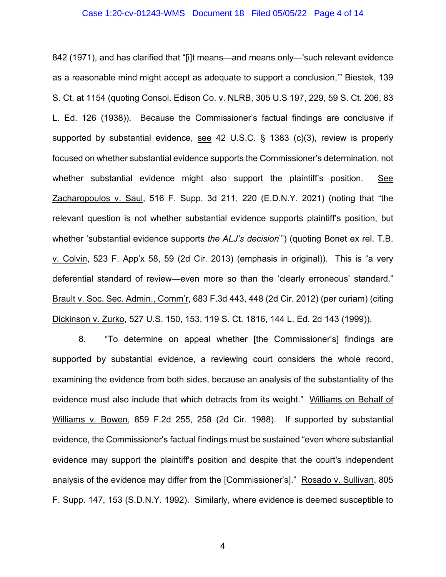## Case 1:20-cv-01243-WMS Document 18 Filed 05/05/22 Page 4 of 14

842 (1971), and has clarified that "[i]t means—and means only—'such relevant evidence as a reasonable mind might accept as adequate to support a conclusion,'" Biestek, 139 S. Ct. at 1154 (quoting Consol. Edison Co. v. NLRB, 305 U.S 197, 229, 59 S. Ct. 206, 83 L. Ed. 126 (1938)). Because the Commissioner's factual findings are conclusive if supported by substantial evidence, see 42 U.S.C. § 1383 (c)(3), review is properly focused on whether substantial evidence supports the Commissioner's determination, not whether substantial evidence might also support the plaintiff's position. See Zacharopoulos v. Saul, 516 F. Supp. 3d 211, 220 (E.D.N.Y. 2021) (noting that "the relevant question is not whether substantial evidence supports plaintiff's position, but whether 'substantial evidence supports *the ALJ's decision*'") (quoting Bonet ex rel. T.B. v. Colvin, 523 F. App'x 58, 59 (2d Cir. 2013) (emphasis in original)). This is "a very deferential standard of review—even more so than the 'clearly erroneous' standard." Brault v. Soc. Sec. Admin., Comm'r, 683 F.3d 443, 448 (2d Cir. 2012) (per curiam) (citing Dickinson v. Zurko, 527 U.S. 150, 153, 119 S. Ct. 1816, 144 L. Ed. 2d 143 (1999)).

8. "To determine on appeal whether [the Commissioner's] findings are supported by substantial evidence, a reviewing court considers the whole record, examining the evidence from both sides, because an analysis of the substantiality of the evidence must also include that which detracts from its weight." Williams on Behalf of Williams v. Bowen, 859 F.2d 255, 258 (2d Cir. 1988). If supported by substantial evidence, the Commissioner's factual findings must be sustained "even where substantial evidence may support the plaintiff's position and despite that the court's independent analysis of the evidence may differ from the [Commissioner's]." Rosado v. Sullivan, 805 F. Supp. 147, 153 (S.D.N.Y. 1992). Similarly, where evidence is deemed susceptible to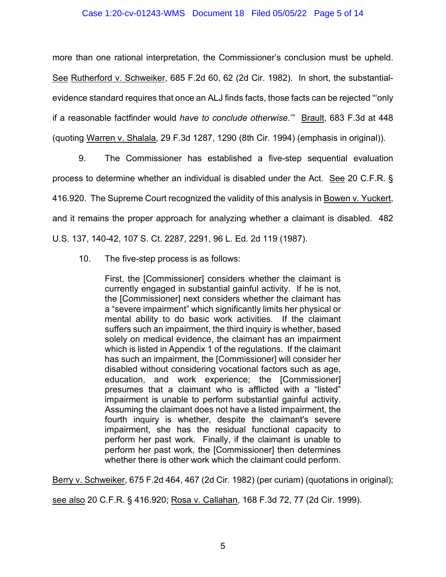## Case 1:20-cv-01243-WMS Document 18 Filed 05/05/22 Page 5 of 14

more than one rational interpretation, the Commissioner's conclusion must be upheld. See Rutherford v. Schweiker, 685 F.2d 60, 62 (2d Cir. 1982). In short, the substantialevidence standard requires that once an ALJ finds facts, those facts can be rejected "'only if a reasonable factfinder would *have to conclude otherwise*.'" Brault, 683 F.3d at 448 (quoting Warren v. Shalala, 29 F.3d 1287, 1290 (8th Cir. 1994) (emphasis in original)).

9. The Commissioner has established a five-step sequential evaluation process to determine whether an individual is disabled under the Act. See 20 C.F.R. § 416.920. The Supreme Court recognized the validity of this analysis in Bowen v. Yuckert, and it remains the proper approach for analyzing whether a claimant is disabled. 482 U.S. 137, 140-42, 107 S. Ct. 2287, 2291, 96 L. Ed. 2d 119 (1987).

10. The five-step process is as follows:

First, the [Commissioner] considers whether the claimant is currently engaged in substantial gainful activity. If he is not, the [Commissioner] next considers whether the claimant has a "severe impairment" which significantly limits her physical or mental ability to do basic work activities. If the claimant suffers such an impairment, the third inquiry is whether, based solely on medical evidence, the claimant has an impairment which is listed in Appendix 1 of the regulations. If the claimant has such an impairment, the [Commissioner] will consider her disabled without considering vocational factors such as age, education, and work experience; the [Commissioner] presumes that a claimant who is afflicted with a "listed" impairment is unable to perform substantial gainful activity. Assuming the claimant does not have a listed impairment, the fourth inquiry is whether, despite the claimant's severe impairment, she has the residual functional capacity to perform her past work. Finally, if the claimant is unable to perform her past work, the [Commissioner] then determines whether there is other work which the claimant could perform.

Berry v. Schweiker, 675 F.2d 464, 467 (2d Cir. 1982) (per curiam) (quotations in original);

see also 20 C.F.R. § 416.920; Rosa v. Callahan, 168 F.3d 72, 77 (2d Cir. 1999).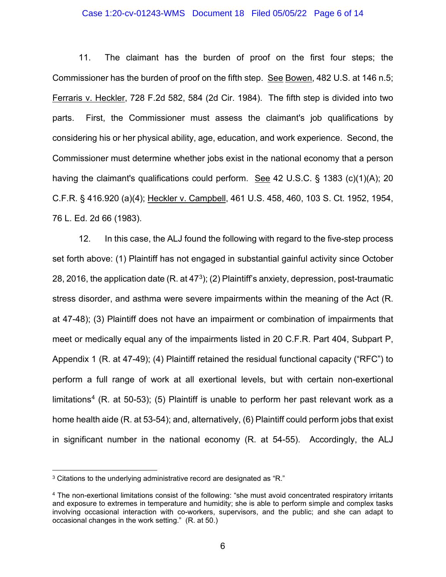## Case 1:20-cv-01243-WMS Document 18 Filed 05/05/22 Page 6 of 14

11. The claimant has the burden of proof on the first four steps; the Commissioner has the burden of proof on the fifth step. See Bowen, 482 U.S. at 146 n.5; Ferraris v. Heckler, 728 F.2d 582, 584 (2d Cir. 1984). The fifth step is divided into two parts. First, the Commissioner must assess the claimant's job qualifications by considering his or her physical ability, age, education, and work experience. Second, the Commissioner must determine whether jobs exist in the national economy that a person having the claimant's qualifications could perform. See 42 U.S.C. § 1383 (c)(1)(A); 20 C.F.R. § 416.920 (a)(4); Heckler v. Campbell, 461 U.S. 458, 460, 103 S. Ct. 1952, 1954, 76 L. Ed. 2d 66 (1983).

12. In this case, the ALJ found the following with regard to the five-step process set forth above: (1) Plaintiff has not engaged in substantial gainful activity since October 28, 2016, the application date (R. at 47<sup>[3](#page-5-0)</sup>); (2) Plaintiff's anxiety, depression, post-traumatic stress disorder, and asthma were severe impairments within the meaning of the Act (R. at 47-48); (3) Plaintiff does not have an impairment or combination of impairments that meet or medically equal any of the impairments listed in 20 C.F.R. Part 404, Subpart P, Appendix 1 (R. at 47-49); (4) Plaintiff retained the residual functional capacity ("RFC") to perform a full range of work at all exertional levels, but with certain non-exertional limitations<sup>[4](#page-5-1)</sup> (R. at 50-53); (5) Plaintiff is unable to perform her past relevant work as a home health aide (R. at 53-54); and, alternatively, (6) Plaintiff could perform jobs that exist in significant number in the national economy (R. at 54-55). Accordingly, the ALJ

<span id="page-5-0"></span><sup>&</sup>lt;sup>3</sup> Citations to the underlying administrative record are designated as "R."

<span id="page-5-1"></span><sup>4</sup> The non-exertional limitations consist of the following: "she must avoid concentrated respiratory irritants and exposure to extremes in temperature and humidity; she is able to perform simple and complex tasks involving occasional interaction with co-workers, supervisors, and the public; and she can adapt to occasional changes in the work setting." (R. at 50.)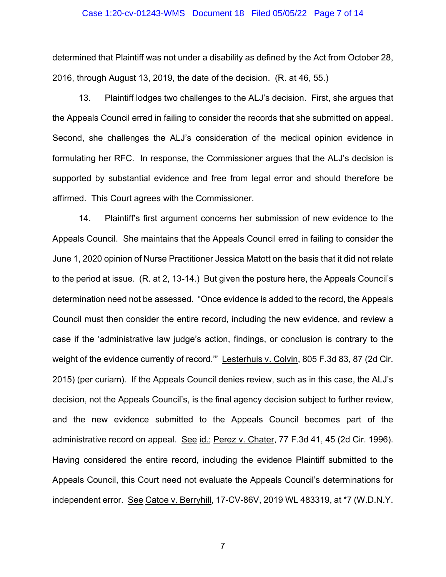#### Case 1:20-cv-01243-WMS Document 18 Filed 05/05/22 Page 7 of 14

determined that Plaintiff was not under a disability as defined by the Act from October 28, 2016, through August 13, 2019, the date of the decision. (R. at 46, 55.)

13. Plaintiff lodges two challenges to the ALJ's decision. First, she argues that the Appeals Council erred in failing to consider the records that she submitted on appeal. Second, she challenges the ALJ's consideration of the medical opinion evidence in formulating her RFC. In response, the Commissioner argues that the ALJ's decision is supported by substantial evidence and free from legal error and should therefore be affirmed. This Court agrees with the Commissioner.

14. Plaintiff's first argument concerns her submission of new evidence to the Appeals Council. She maintains that the Appeals Council erred in failing to consider the June 1, 2020 opinion of Nurse Practitioner Jessica Matott on the basis that it did not relate to the period at issue. (R. at 2, 13-14.) But given the posture here, the Appeals Council's determination need not be assessed. "Once evidence is added to the record, the Appeals Council must then consider the entire record, including the new evidence, and review a case if the 'administrative law judge's action, findings, or conclusion is contrary to the weight of the evidence currently of record." Lesterhuis v. Colvin, 805 F.3d 83, 87 (2d Cir. 2015) (per curiam). If the Appeals Council denies review, such as in this case, the ALJ's decision, not the Appeals Council's, is the final agency decision subject to further review, and the new evidence submitted to the Appeals Council becomes part of the administrative record on appeal. See id.; Perez v. Chater, 77 F.3d 41, 45 (2d Cir. 1996). Having considered the entire record, including the evidence Plaintiff submitted to the Appeals Council, this Court need not evaluate the Appeals Council's determinations for independent error. See Catoe v. Berryhill, 17-CV-86V, 2019 WL 483319, at \*7 (W.D.N.Y.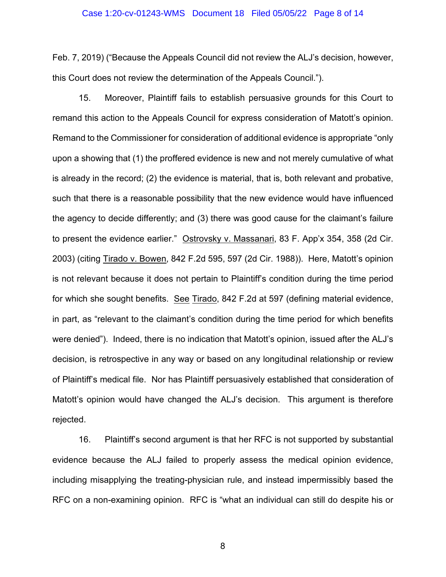#### Case 1:20-cv-01243-WMS Document 18 Filed 05/05/22 Page 8 of 14

Feb. 7, 2019) ("Because the Appeals Council did not review the ALJ's decision, however, this Court does not review the determination of the Appeals Council.").

15. Moreover, Plaintiff fails to establish persuasive grounds for this Court to remand this action to the Appeals Council for express consideration of Matott's opinion. Remand to the Commissioner for consideration of additional evidence is appropriate "only upon a showing that (1) the proffered evidence is new and not merely cumulative of what is already in the record; (2) the evidence is material, that is, both relevant and probative, such that there is a reasonable possibility that the new evidence would have influenced the agency to decide differently; and (3) there was good cause for the claimant's failure to present the evidence earlier." Ostrovsky v. Massanari, 83 F. App'x 354, 358 (2d Cir. 2003) (citing Tirado v. Bowen, 842 F.2d 595, 597 (2d Cir. 1988)). Here, Matott's opinion is not relevant because it does not pertain to Plaintiff's condition during the time period for which she sought benefits. See Tirado, 842 F.2d at 597 (defining material evidence, in part, as "relevant to the claimant's condition during the time period for which benefits were denied"). Indeed, there is no indication that Matott's opinion, issued after the ALJ's decision, is retrospective in any way or based on any longitudinal relationship or review of Plaintiff's medical file. Nor has Plaintiff persuasively established that consideration of Matott's opinion would have changed the ALJ's decision. This argument is therefore rejected.

16. Plaintiff's second argument is that her RFC is not supported by substantial evidence because the ALJ failed to properly assess the medical opinion evidence, including misapplying the treating-physician rule, and instead impermissibly based the RFC on a non-examining opinion. RFC is "what an individual can still do despite his or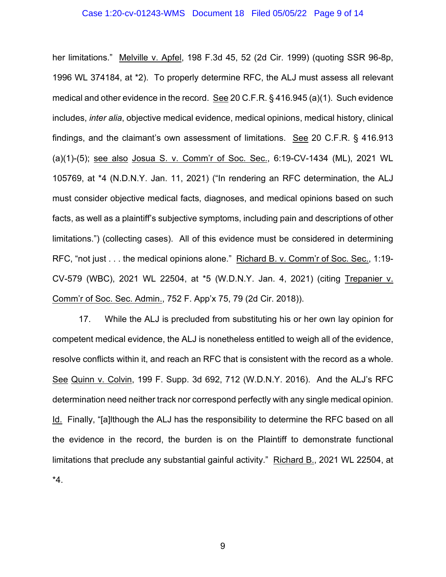#### Case 1:20-cv-01243-WMS Document 18 Filed 05/05/22 Page 9 of 14

her limitations." Melville v. Apfel, 198 F.3d 45, 52 (2d Cir. 1999) (quoting SSR 96-8p, 1996 WL 374184, at \*2). To properly determine RFC, the ALJ must assess all relevant medical and other evidence in the record. See 20 C.F.R. § 416.945 (a)(1). Such evidence includes, *inter alia*, objective medical evidence, medical opinions, medical history, clinical findings, and the claimant's own assessment of limitations. See 20 C.F.R. § 416.913 (a)(1)-(5); see also Josua S. v. Comm'r of Soc. Sec., 6:19-CV-1434 (ML), 2021 WL 105769, at \*4 (N.D.N.Y. Jan. 11, 2021) ("In rendering an RFC determination, the ALJ must consider objective medical facts, diagnoses, and medical opinions based on such facts, as well as a plaintiff's subjective symptoms, including pain and descriptions of other limitations.") (collecting cases). All of this evidence must be considered in determining RFC, "not just . . . the medical opinions alone." Richard B. v. Comm'r of Soc. Sec., 1:19- CV-579 (WBC), 2021 WL 22504, at \*5 (W.D.N.Y. Jan. 4, 2021) (citing Trepanier v. Comm'r of Soc. Sec. Admin., 752 F. App'x 75, 79 (2d Cir. 2018)).

17. While the ALJ is precluded from substituting his or her own lay opinion for competent medical evidence, the ALJ is nonetheless entitled to weigh all of the evidence, resolve conflicts within it, and reach an RFC that is consistent with the record as a whole. See Quinn v. Colvin, 199 F. Supp. 3d 692, 712 (W.D.N.Y. 2016). And the ALJ's RFC determination need neither track nor correspond perfectly with any single medical opinion. Id. Finally, "[a]lthough the ALJ has the responsibility to determine the RFC based on all the evidence in the record, the burden is on the Plaintiff to demonstrate functional limitations that preclude any substantial gainful activity." Richard B., 2021 WL 22504, at \*4.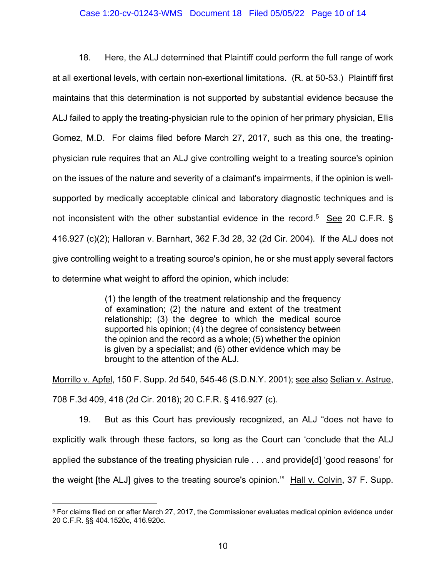## Case 1:20-cv-01243-WMS Document 18 Filed 05/05/22 Page 10 of 14

18. Here, the ALJ determined that Plaintiff could perform the full range of work at all exertional levels, with certain non-exertional limitations. (R. at 50-53.) Plaintiff first maintains that this determination is not supported by substantial evidence because the ALJ failed to apply the treating-physician rule to the opinion of her primary physician, Ellis Gomez, M.D. For claims filed before March 27, 2017, such as this one, the treatingphysician rule requires that an ALJ give controlling weight to a treating source's opinion on the issues of the nature and severity of a claimant's impairments, if the opinion is wellsupported by medically acceptable clinical and laboratory diagnostic techniques and is not inconsistent with the other substantial evidence in the record.<sup>[5](#page-9-0)</sup> See 20 C.F.R. § 416.927 (c)(2); Halloran v. Barnhart, 362 F.3d 28, 32 (2d Cir. 2004). If the ALJ does not give controlling weight to a treating source's opinion, he or she must apply several factors to determine what weight to afford the opinion, which include:

> (1) the length of the treatment relationship and the frequency of examination; (2) the nature and extent of the treatment relationship; (3) the degree to which the medical source supported his opinion; (4) the degree of consistency between the opinion and the record as a whole; (5) whether the opinion is given by a specialist; and (6) other evidence which may be brought to the attention of the ALJ.

Morrillo v. Apfel, 150 F. Supp. 2d 540, 545-46 (S.D.N.Y. 2001); see also Selian v. Astrue, 708 F.3d 409, 418 (2d Cir. 2018); 20 C.F.R. § 416.927 (c).

19. But as this Court has previously recognized, an ALJ "does not have to explicitly walk through these factors, so long as the Court can 'conclude that the ALJ applied the substance of the treating physician rule . . . and provide[d] 'good reasons' for the weight [the ALJ] gives to the treating source's opinion.'" Hall v. Colvin, 37 F. Supp.

<span id="page-9-0"></span><sup>5</sup> For claims filed on or after March 27, 2017, the Commissioner evaluates medical opinion evidence under 20 C.F.R. §§ 404.1520c, 416.920c.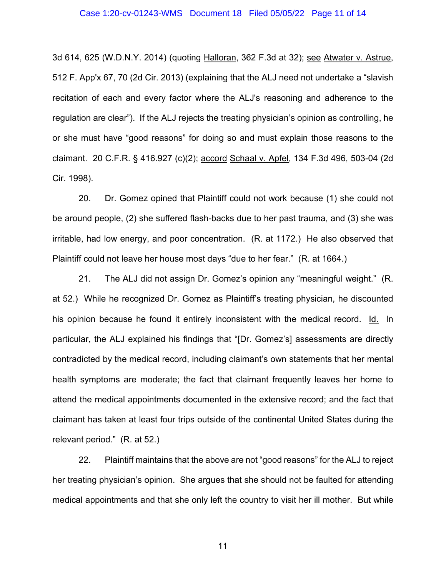3d 614, 625 (W.D.N.Y. 2014) (quoting Halloran, 362 F.3d at 32); see Atwater v. Astrue, 512 F. App'x 67, 70 (2d Cir. 2013) (explaining that the ALJ need not undertake a "slavish recitation of each and every factor where the ALJ's reasoning and adherence to the regulation are clear"). If the ALJ rejects the treating physician's opinion as controlling, he or she must have "good reasons" for doing so and must explain those reasons to the claimant. 20 C.F.R. § 416.927 (c)(2); accord Schaal v. Apfel, 134 F.3d 496, 503-04 (2d Cir. 1998).

20. Dr. Gomez opined that Plaintiff could not work because (1) she could not be around people, (2) she suffered flash-backs due to her past trauma, and (3) she was irritable, had low energy, and poor concentration. (R. at 1172.) He also observed that Plaintiff could not leave her house most days "due to her fear." (R. at 1664.)

21. The ALJ did not assign Dr. Gomez's opinion any "meaningful weight." (R. at 52.) While he recognized Dr. Gomez as Plaintiff's treating physician, he discounted his opinion because he found it entirely inconsistent with the medical record. Id. In particular, the ALJ explained his findings that "[Dr. Gomez's] assessments are directly contradicted by the medical record, including claimant's own statements that her mental health symptoms are moderate; the fact that claimant frequently leaves her home to attend the medical appointments documented in the extensive record; and the fact that claimant has taken at least four trips outside of the continental United States during the relevant period." (R. at 52.)

22. Plaintiff maintains that the above are not "good reasons" for the ALJ to reject her treating physician's opinion. She argues that she should not be faulted for attending medical appointments and that she only left the country to visit her ill mother. But while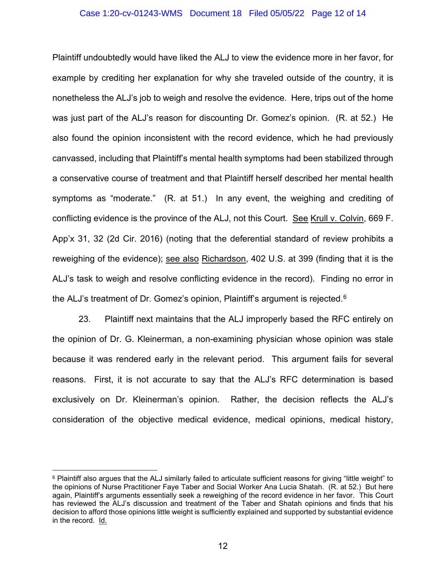## Case 1:20-cv-01243-WMS Document 18 Filed 05/05/22 Page 12 of 14

Plaintiff undoubtedly would have liked the ALJ to view the evidence more in her favor, for example by crediting her explanation for why she traveled outside of the country, it is nonetheless the ALJ's job to weigh and resolve the evidence. Here, trips out of the home was just part of the ALJ's reason for discounting Dr. Gomez's opinion. (R. at 52.) He also found the opinion inconsistent with the record evidence, which he had previously canvassed, including that Plaintiff's mental health symptoms had been stabilized through a conservative course of treatment and that Plaintiff herself described her mental health symptoms as "moderate." (R. at 51.) In any event, the weighing and crediting of conflicting evidence is the province of the ALJ, not this Court. See Krull v. Colvin, 669 F. App'x 31, 32 (2d Cir. 2016) (noting that the deferential standard of review prohibits a reweighing of the evidence); see also Richardson, 402 U.S. at 399 (finding that it is the ALJ's task to weigh and resolve conflicting evidence in the record). Finding no error in the ALJ's treatment of Dr. Gomez's opinion, Plaintiff's argument is rejected.<sup>[6](#page-11-0)</sup>

23. Plaintiff next maintains that the ALJ improperly based the RFC entirely on the opinion of Dr. G. Kleinerman, a non-examining physician whose opinion was stale because it was rendered early in the relevant period. This argument fails for several reasons. First, it is not accurate to say that the ALJ's RFC determination is based exclusively on Dr. Kleinerman's opinion. Rather, the decision reflects the ALJ's consideration of the objective medical evidence, medical opinions, medical history,

<span id="page-11-0"></span><sup>6</sup> Plaintiff also argues that the ALJ similarly failed to articulate sufficient reasons for giving "little weight" to the opinions of Nurse Practitioner Faye Taber and Social Worker Ana Lucia Shatah. (R. at 52.) But here again, Plaintiff's arguments essentially seek a reweighing of the record evidence in her favor. This Court has reviewed the ALJ's discussion and treatment of the Taber and Shatah opinions and finds that his decision to afford those opinions little weight is sufficiently explained and supported by substantial evidence in the record. Id.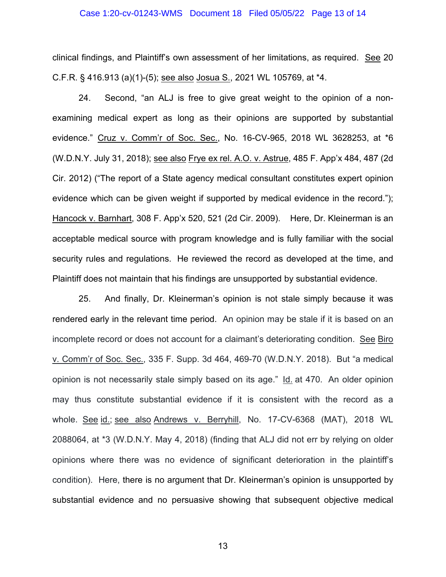#### Case 1:20-cv-01243-WMS Document 18 Filed 05/05/22 Page 13 of 14

clinical findings, and Plaintiff's own assessment of her limitations, as required. See 20 C.F.R. § 416.913 (a)(1)-(5); see also Josua S., 2021 WL 105769, at \*4.

24. Second, "an ALJ is free to give great weight to the opinion of a nonexamining medical expert as long as their opinions are supported by substantial evidence." Cruz v. Comm'r of Soc. Sec., No. 16-CV-965, 2018 WL 3628253, at \*6 (W.D.N.Y. July 31, 2018); see also Frye ex rel. A.O. v. Astrue, 485 F. App'x 484, 487 (2d Cir. 2012) ("The report of a State agency medical consultant constitutes expert opinion evidence which can be given weight if supported by medical evidence in the record."); Hancock v. Barnhart, 308 F. App'x 520, 521 (2d Cir. 2009). Here, Dr. Kleinerman is an acceptable medical source with program knowledge and is fully familiar with the social security rules and regulations. He reviewed the record as developed at the time, and Plaintiff does not maintain that his findings are unsupported by substantial evidence.

25. And finally, Dr. Kleinerman's opinion is not stale simply because it was rendered early in the relevant time period. An opinion may be stale if it is based on an incomplete record or does not account for a claimant's deteriorating condition. See Biro v. Comm'r of Soc. Sec., 335 F. Supp. 3d 464, 469-70 (W.D.N.Y. 2018). But "a medical opinion is not necessarily stale simply based on its age." Id. at 470. An older opinion may thus constitute substantial evidence if it is consistent with the record as a whole. See id.; see also Andrews v. Berryhill, No. 17-CV-6368 (MAT), 2018 WL 2088064, at \*3 (W.D.N.Y. May 4, 2018) (finding that ALJ did not err by relying on older opinions where there was no evidence of significant deterioration in the plaintiff's condition). Here, there is no argument that Dr. Kleinerman's opinion is unsupported by substantial evidence and no persuasive showing that subsequent objective medical